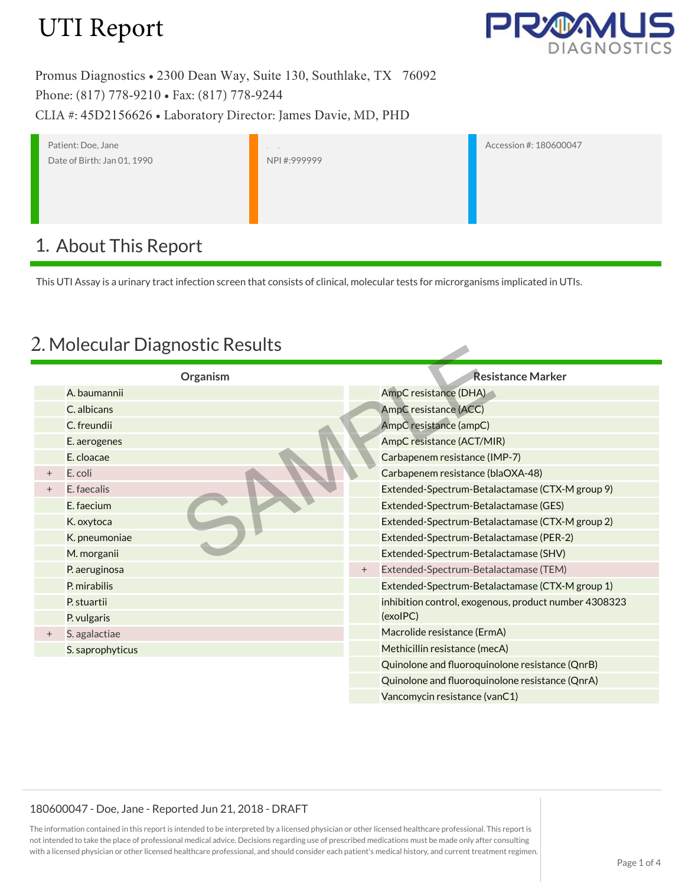

Promus Diagnostics • 2300 Dean Way, Suite 130, Southlake, TX 76092 Phone: (817) 778-9210 • Fax: (817) 778-9244 CLIA #: 45D2156626 • Laboratory Director: James Davie, MD, PHD

Patient: Doe, Jane Date of Birth: Jan 01, 1990 Ph ysician: NPI #:999999

Accession #: 180600047

## 1. About This Report

This UTI Assay is a urinary tract infection screen that consists of clinical, molecular tests for microrganisms implicated in UTIs.

### 2. Molecular Diagnostic Results

| 2. MOJECULAI DIABIJOSLIC KESUILS |                  |        |                                                       |  |  |
|----------------------------------|------------------|--------|-------------------------------------------------------|--|--|
|                                  | Organism         |        | <b>Resistance Marker</b>                              |  |  |
|                                  | A. baumannii     |        | AmpC resistance (DHA)                                 |  |  |
|                                  | C. albicans      |        | AmpC resistance (ACC)                                 |  |  |
|                                  | C. freundii      |        | AmpC resistance (ampC)                                |  |  |
|                                  | E. aerogenes     |        | AmpC resistance (ACT/MIR)                             |  |  |
|                                  | E. cloacae       |        | Carbapenem resistance (IMP-7)                         |  |  |
| $+$                              | E. coli          |        | Carbapenem resistance (blaOXA-48)                     |  |  |
| $+$                              | E. faecalis      |        | Extended-Spectrum-Betalactamase (CTX-M group 9)       |  |  |
|                                  | E. faecium       |        | Extended-Spectrum-Betalactamase (GES)                 |  |  |
|                                  | K. oxytoca       |        | Extended-Spectrum-Betalactamase (CTX-M group 2)       |  |  |
|                                  | K. pneumoniae    |        | Extended-Spectrum-Betalactamase (PER-2)               |  |  |
|                                  | M. morganii      |        | Extended-Spectrum-Betalactamase (SHV)                 |  |  |
|                                  | P. aeruginosa    | $^{+}$ | Extended-Spectrum-Betalactamase (TEM)                 |  |  |
|                                  | P. mirabilis     |        | Extended-Spectrum-Betalactamase (CTX-M group 1)       |  |  |
|                                  | P. stuartii      |        | inhibition control, exogenous, product number 4308323 |  |  |
|                                  | P. vulgaris      |        | (exolPC)                                              |  |  |
| $^{+}$                           | S. agalactiae    |        | Macrolide resistance (ErmA)                           |  |  |
|                                  | S. saprophyticus |        | Methicillin resistance (mecA)                         |  |  |
|                                  |                  |        | Quinolone and fluoroquinolone resistance (QnrB)       |  |  |
|                                  |                  |        | Quinolone and fluoroquinolone resistance (QnrA)       |  |  |
|                                  |                  |        | Vancomycin resistance (vanC1)                         |  |  |

#### 180600047 - Doe, Jane - Reported Jun 21, 2018 - DRAFT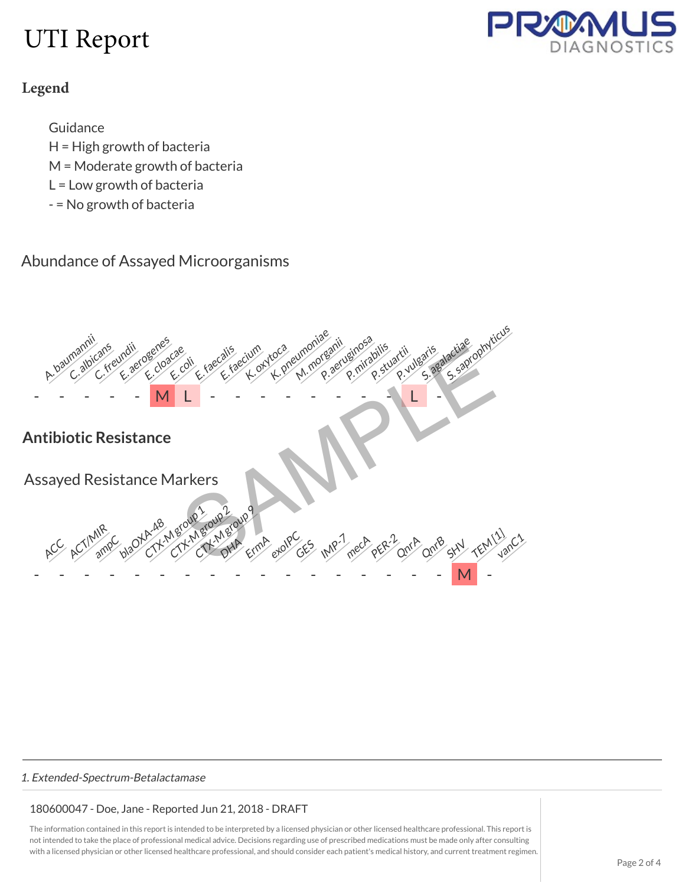

### **Legend**

Guidance

- H = High growth of bacteria
- M = Moderate growth of bacteria
- L = Low growth of bacteria
- = No growth of bacteria

### Abundance of Assayed Microorganisms



#### 1. Extended-Spectrum-Betalactamase

### 180600047 - Doe, Jane - Reported Jun 21, 2018 - DRAFT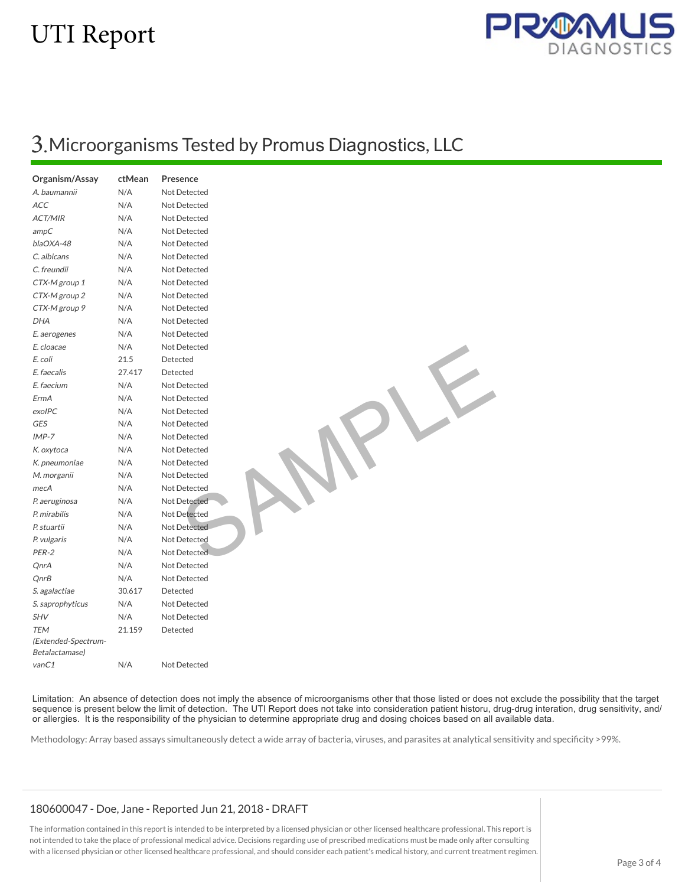

## 3.Microorganisms Tested by <sup>P</sup>romus <sup>D</sup>iagnostics, LLC

| Organism/Assay       | ctMean | Presence            |
|----------------------|--------|---------------------|
| A. baumannii         | N/A    | Not Detected        |
| ACC                  | N/A    | Not Detected        |
| <b>ACT/MIR</b>       | N/A    | Not Detected        |
| ampC                 | N/A    | Not Detected        |
| blaOXA-48            | N/A    | Not Detected        |
| C. albicans          | N/A    | Not Detected        |
| C. freundii          | N/A    | Not Detected        |
| CTX-M group 1        | N/A    | <b>Not Detected</b> |
| CTX-M group 2        | N/A    | Not Detected        |
| CTX-M group 9        | N/A    | Not Detected        |
| <b>DHA</b>           | N/A    | Not Detected        |
| E. aerogenes         | N/A    | Not Detected        |
| E. cloacae           | N/A    | Not Detected        |
| E. coli              | 21.5   | Detected            |
| E. faecalis          | 27.417 | Detected            |
| E. faecium           | N/A    | Not Detected        |
| ErmA                 | N/A    | Not Detected        |
| exolPC               | N/A    | <b>Not Detected</b> |
| <b>GES</b>           | N/A    | Not Detected        |
| $IMP-7$              | N/A    | Not Detected        |
| K. oxytoca           | N/A    | <b>Not Detected</b> |
| K. pneumoniae        | N/A    | Not Detected        |
| M. morganii          | N/A    | Not Detected        |
| mecA                 | N/A    | Not Detected        |
| P. aeruginosa        | N/A    | Not Detected        |
| P. mirabilis         | N/A    | <b>Not Detected</b> |
| P. stuartii          | N/A    | <b>Not Detected</b> |
| P. vulgaris          | N/A    | <b>Not Detected</b> |
| PER-2                | N/A    | Not Detected        |
| QnrA                 | N/A    | <b>Not Detected</b> |
| QnrB                 | N/A    | Not Detected        |
| <i>S. agalactiae</i> | 30.617 | Detected            |
| S. saprophyticus     | N/A    | Not Detected        |
| <b>SHV</b>           | N/A    | Not Detected        |
| <b>TEM</b>           | 21.159 | Detected            |
| (Extended-Spectrum-  |        |                     |
| Betalactamase)       |        |                     |
| vanC1                | N/A    | Not Detected        |

Limitation: An absence of detection does not imply the absence of microorganisms other that those listed or does not exclude the possibility that the target sequence is present below the limit of detection. The UTI Report does not take into consideration patient historu, drug-drug interation, drug sensitivity, and/ or allergies. It is the responsibility of the physician to determine appropriate drug and dosing choices based on all available data.

SAMPLE

Methodology: Array based assays simultaneously detect a wide array of bacteria, viruses, and parasites at analytical sensitivity and specificity >99%.

#### 180600047 - Doe, Jane - Reported Jun 21, 2018 - DRAFT